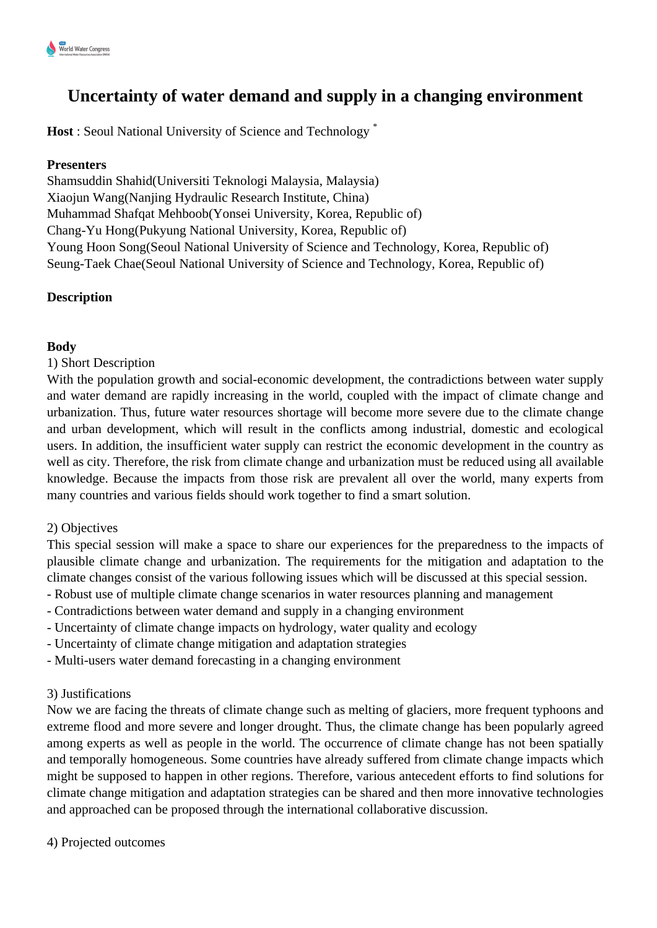# **Uncertainty of water demand and supply in a changing environment**

**Host** : Seoul National University of Science and Technology \*

#### **Presenters**

Shamsuddin Shahid(Universiti Teknologi Malaysia, Malaysia) Xiaojun Wang(Nanjing Hydraulic Research Institute, China) Muhammad Shafqat Mehboob(Yonsei University, Korea, Republic of) Chang-Yu Hong(Pukyung National University, Korea, Republic of) Young Hoon Song(Seoul National University of Science and Technology, Korea, Republic of) Seung-Taek Chae(Seoul National University of Science and Technology, Korea, Republic of)

## **Description**

## **Body**

1) Short Description

With the population growth and social-economic development, the contradictions between water supply and water demand are rapidly increasing in the world, coupled with the impact of climate change and urbanization. Thus, future water resources shortage will become more severe due to the climate change and urban development, which will result in the conflicts among industrial, domestic and ecological users. In addition, the insufficient water supply can restrict the economic development in the country as well as city. Therefore, the risk from climate change and urbanization must be reduced using all available knowledge. Because the impacts from those risk are prevalent all over the world, many experts from many countries and various fields should work together to find a smart solution.

#### 2) Objectives

This special session will make a space to share our experiences for the preparedness to the impacts of plausible climate change and urbanization. The requirements for the mitigation and adaptation to the climate changes consist of the various following issues which will be discussed at this special session.

- Robust use of multiple climate change scenarios in water resources planning and management
- Contradictions between water demand and supply in a changing environment
- Uncertainty of climate change impacts on hydrology, water quality and ecology
- Uncertainty of climate change mitigation and adaptation strategies
- Multi-users water demand forecasting in a changing environment

## 3) Justifications

Now we are facing the threats of climate change such as melting of glaciers, more frequent typhoons and extreme flood and more severe and longer drought. Thus, the climate change has been popularly agreed among experts as well as people in the world. The occurrence of climate change has not been spatially and temporally homogeneous. Some countries have already suffered from climate change impacts which might be supposed to happen in other regions. Therefore, various antecedent efforts to find solutions for climate change mitigation and adaptation strategies can be shared and then more innovative technologies and approached can be proposed through the international collaborative discussion.

4) Projected outcomes